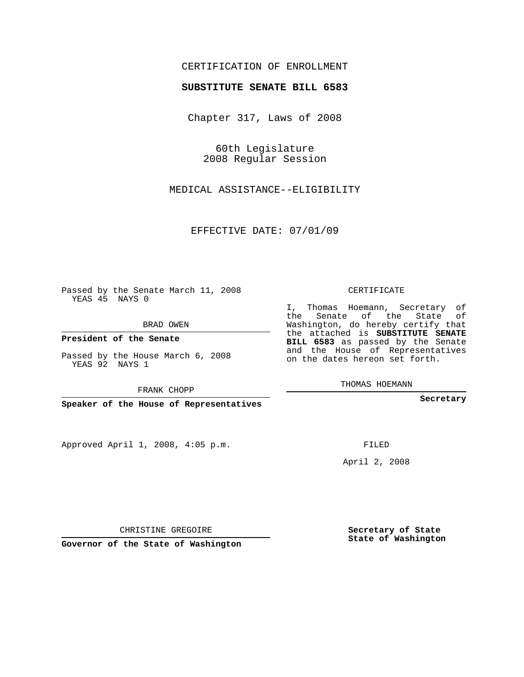## CERTIFICATION OF ENROLLMENT

## **SUBSTITUTE SENATE BILL 6583**

Chapter 317, Laws of 2008

60th Legislature 2008 Regular Session

MEDICAL ASSISTANCE--ELIGIBILITY

EFFECTIVE DATE: 07/01/09

Passed by the Senate March 11, 2008 YEAS 45 NAYS 0

BRAD OWEN

**President of the Senate**

Passed by the House March 6, 2008 YEAS 92 NAYS 1

FRANK CHOPP

**Speaker of the House of Representatives**

Approved April 1, 2008, 4:05 p.m.

CERTIFICATE

I, Thomas Hoemann, Secretary of the Senate of the State of Washington, do hereby certify that the attached is **SUBSTITUTE SENATE BILL 6583** as passed by the Senate and the House of Representatives on the dates hereon set forth.

THOMAS HOEMANN

**Secretary**

FILED

April 2, 2008

CHRISTINE GREGOIRE

**Governor of the State of Washington**

**Secretary of State State of Washington**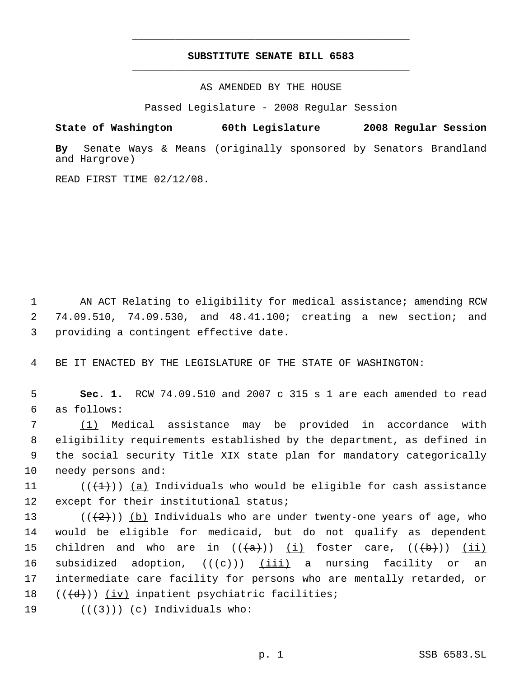## **SUBSTITUTE SENATE BILL 6583** \_\_\_\_\_\_\_\_\_\_\_\_\_\_\_\_\_\_\_\_\_\_\_\_\_\_\_\_\_\_\_\_\_\_\_\_\_\_\_\_\_\_\_\_\_

\_\_\_\_\_\_\_\_\_\_\_\_\_\_\_\_\_\_\_\_\_\_\_\_\_\_\_\_\_\_\_\_\_\_\_\_\_\_\_\_\_\_\_\_\_

AS AMENDED BY THE HOUSE

Passed Legislature - 2008 Regular Session

**State of Washington 60th Legislature 2008 Regular Session**

**By** Senate Ways & Means (originally sponsored by Senators Brandland and Hargrove)

READ FIRST TIME 02/12/08.

 1 AN ACT Relating to eligibility for medical assistance; amending RCW 2 74.09.510, 74.09.530, and 48.41.100; creating a new section; and 3 providing a contingent effective date.

4 BE IT ENACTED BY THE LEGISLATURE OF THE STATE OF WASHINGTON:

 5 **Sec. 1.** RCW 74.09.510 and 2007 c 315 s 1 are each amended to read 6 as follows:

 (1) Medical assistance may be provided in accordance with eligibility requirements established by the department, as defined in the social security Title XIX state plan for mandatory categorically needy persons and:

11 ( $(\{\pm\})$ ) (a) Individuals who would be eligible for cash assistance 12 except for their institutional status;

13 ( $(\frac{1}{2})$ ) (b) Individuals who are under twenty-one years of age, who 14 would be eligible for medicaid, but do not qualify as dependent 15 children and who are in  $((+a))$   $(i)$  foster care,  $((+b))$   $(ii)$ 16 subsidized adoption,  $((e+))$  (iii) a nursing facility or an 17 intermediate care facility for persons who are mentally retarded, or 18  $((\overline{d}))$   $(iv)$  inpatient psychiatric facilities;

19  $((+3))$   $(c)$  Individuals who: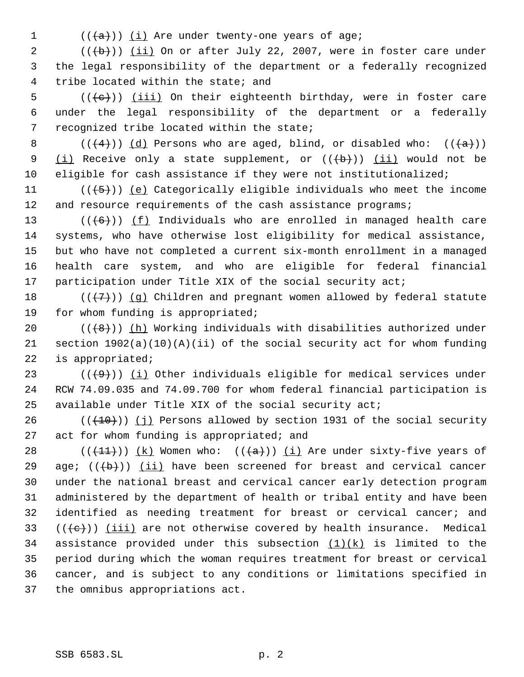- 
- $((+a))$  ( $(i)$  Are under twenty-one years of age;

 (( $\left(\frac{1}{1}, \frac{1}{2}\right)$ ) (ii) On or after July 22, 2007, were in foster care under the legal responsibility of the department or a federally recognized tribe located within the state; and

5 ( $(\langle e \rangle)$ ) <u>(iii)</u> On their eighteenth birthday, were in foster care under the legal responsibility of the department or a federally recognized tribe located within the state;

8 ( $(\frac{4}{4})$ ) (d) Persons who are aged, blind, or disabled who:  $(\frac{4}{a})$ ) 9 (i) Receive only a state supplement, or  $((+b))$  (ii) would not be eligible for cash assistance if they were not institutionalized;

11  $((\left\langle 5\right\rangle))$  (e) Categorically eligible individuals who meet the income 12 and resource requirements of the cash assistance programs;

 $((+6))$  (f) Individuals who are enrolled in managed health care systems, who have otherwise lost eligibility for medical assistance, but who have not completed a current six-month enrollment in a managed health care system, and who are eligible for federal financial 17 participation under Title XIX of the social security act;

18  $((+7)^{n})$  (q) Children and pregnant women allowed by federal statute for whom funding is appropriated;

20  $((+8))$  ( $(h)$  Working individuals with disabilities authorized under section 1902(a)(10)(A)(ii) of the social security act for whom funding is appropriated;

23  $((\langle 9 \rangle)(i)$  (i) Other individuals eligible for medical services under RCW 74.09.035 and 74.09.700 for whom federal financial participation is available under Title XIX of the social security act;

 $((+10))$  (j) Persons allowed by section 1931 of the social security act for whom funding is appropriated; and

28 ( $(\frac{11}{1})$ )  $(k)$  Women who:  $(\frac{1}{k})$  (i) Are under sixty-five years of 29 age;  $((+b))$  (ii) have been screened for breast and cervical cancer under the national breast and cervical cancer early detection program administered by the department of health or tribal entity and have been identified as needing treatment for breast or cervical cancer; and  $((e+))$  (iii) are not otherwise covered by health insurance. Medical 34 assistance provided under this subsection  $(1)(k)$  is limited to the period during which the woman requires treatment for breast or cervical cancer, and is subject to any conditions or limitations specified in the omnibus appropriations act.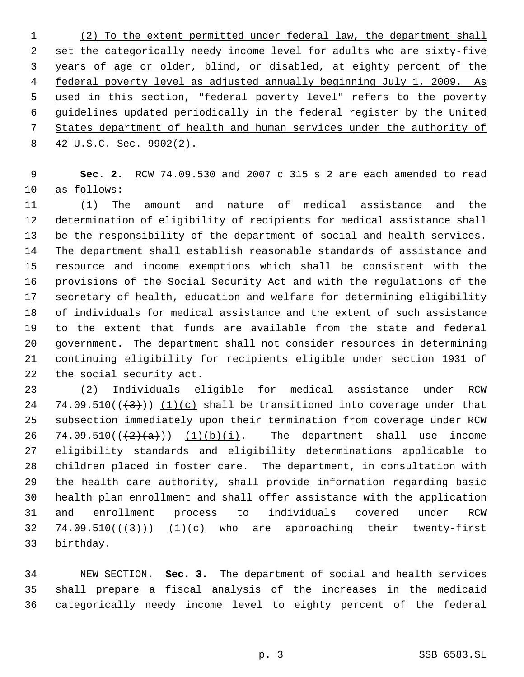(2) To the extent permitted under federal law, the department shall 2 set the categorically needy income level for adults who are sixty-five years of age or older, blind, or disabled, at eighty percent of the federal poverty level as adjusted annually beginning July 1, 2009. As used in this section, "federal poverty level" refers to the poverty guidelines updated periodically in the federal register by the United States department of health and human services under the authority of 42 U.S.C. Sec. 9902(2).

 **Sec. 2.** RCW 74.09.530 and 2007 c 315 s 2 are each amended to read as follows:

 (1) The amount and nature of medical assistance and the determination of eligibility of recipients for medical assistance shall be the responsibility of the department of social and health services. The department shall establish reasonable standards of assistance and resource and income exemptions which shall be consistent with the provisions of the Social Security Act and with the regulations of the secretary of health, education and welfare for determining eligibility of individuals for medical assistance and the extent of such assistance to the extent that funds are available from the state and federal government. The department shall not consider resources in determining continuing eligibility for recipients eligible under section 1931 of the social security act.

 (2) Individuals eligible for medical assistance under RCW 24 74.09.510( $(\frac{43}{2})$ ) (1)(c) shall be transitioned into coverage under that subsection immediately upon their termination from coverage under RCW 26 74.09.510( $(\frac{2}{3})$  (1)(b)(i). The department shall use income eligibility standards and eligibility determinations applicable to children placed in foster care. The department, in consultation with the health care authority, shall provide information regarding basic health plan enrollment and shall offer assistance with the application and enrollment process to individuals covered under RCW 32 74.09.510 $((+3))$  (1)(c) who are approaching their twenty-first birthday.

 NEW SECTION. **Sec. 3.** The department of social and health services shall prepare a fiscal analysis of the increases in the medicaid categorically needy income level to eighty percent of the federal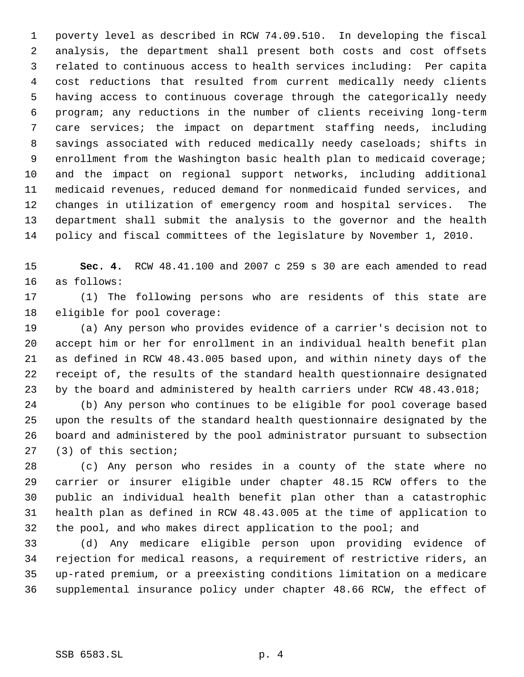poverty level as described in RCW 74.09.510. In developing the fiscal analysis, the department shall present both costs and cost offsets related to continuous access to health services including: Per capita cost reductions that resulted from current medically needy clients having access to continuous coverage through the categorically needy program; any reductions in the number of clients receiving long-term care services; the impact on department staffing needs, including savings associated with reduced medically needy caseloads; shifts in enrollment from the Washington basic health plan to medicaid coverage; and the impact on regional support networks, including additional medicaid revenues, reduced demand for nonmedicaid funded services, and changes in utilization of emergency room and hospital services. The department shall submit the analysis to the governor and the health policy and fiscal committees of the legislature by November 1, 2010.

 **Sec. 4.** RCW 48.41.100 and 2007 c 259 s 30 are each amended to read as follows:

 (1) The following persons who are residents of this state are eligible for pool coverage:

 (a) Any person who provides evidence of a carrier's decision not to accept him or her for enrollment in an individual health benefit plan as defined in RCW 48.43.005 based upon, and within ninety days of the receipt of, the results of the standard health questionnaire designated by the board and administered by health carriers under RCW 48.43.018;

 (b) Any person who continues to be eligible for pool coverage based upon the results of the standard health questionnaire designated by the board and administered by the pool administrator pursuant to subsection (3) of this section;

 (c) Any person who resides in a county of the state where no carrier or insurer eligible under chapter 48.15 RCW offers to the public an individual health benefit plan other than a catastrophic health plan as defined in RCW 48.43.005 at the time of application to 32 the pool, and who makes direct application to the pool; and

 (d) Any medicare eligible person upon providing evidence of rejection for medical reasons, a requirement of restrictive riders, an up-rated premium, or a preexisting conditions limitation on a medicare supplemental insurance policy under chapter 48.66 RCW, the effect of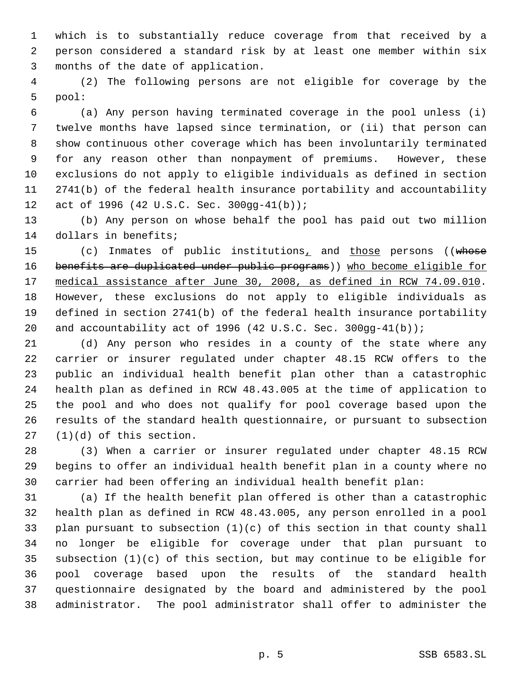which is to substantially reduce coverage from that received by a person considered a standard risk by at least one member within six months of the date of application.

 (2) The following persons are not eligible for coverage by the pool:

 (a) Any person having terminated coverage in the pool unless (i) twelve months have lapsed since termination, or (ii) that person can show continuous other coverage which has been involuntarily terminated for any reason other than nonpayment of premiums. However, these exclusions do not apply to eligible individuals as defined in section 2741(b) of the federal health insurance portability and accountability act of 1996 (42 U.S.C. Sec. 300gg-41(b));

 (b) Any person on whose behalf the pool has paid out two million dollars in benefits;

15 (c) Inmates of public institutions<sub>1</sub> and those persons ((whose 16 benefits are duplicated under public programs)) who become eligible for medical assistance after June 30, 2008, as defined in RCW 74.09.010. However, these exclusions do not apply to eligible individuals as defined in section 2741(b) of the federal health insurance portability and accountability act of 1996 (42 U.S.C. Sec. 300gg-41(b));

 (d) Any person who resides in a county of the state where any carrier or insurer regulated under chapter 48.15 RCW offers to the public an individual health benefit plan other than a catastrophic health plan as defined in RCW 48.43.005 at the time of application to the pool and who does not qualify for pool coverage based upon the results of the standard health questionnaire, or pursuant to subsection (1)(d) of this section.

 (3) When a carrier or insurer regulated under chapter 48.15 RCW begins to offer an individual health benefit plan in a county where no carrier had been offering an individual health benefit plan:

 (a) If the health benefit plan offered is other than a catastrophic health plan as defined in RCW 48.43.005, any person enrolled in a pool plan pursuant to subsection (1)(c) of this section in that county shall no longer be eligible for coverage under that plan pursuant to subsection (1)(c) of this section, but may continue to be eligible for pool coverage based upon the results of the standard health questionnaire designated by the board and administered by the pool administrator. The pool administrator shall offer to administer the